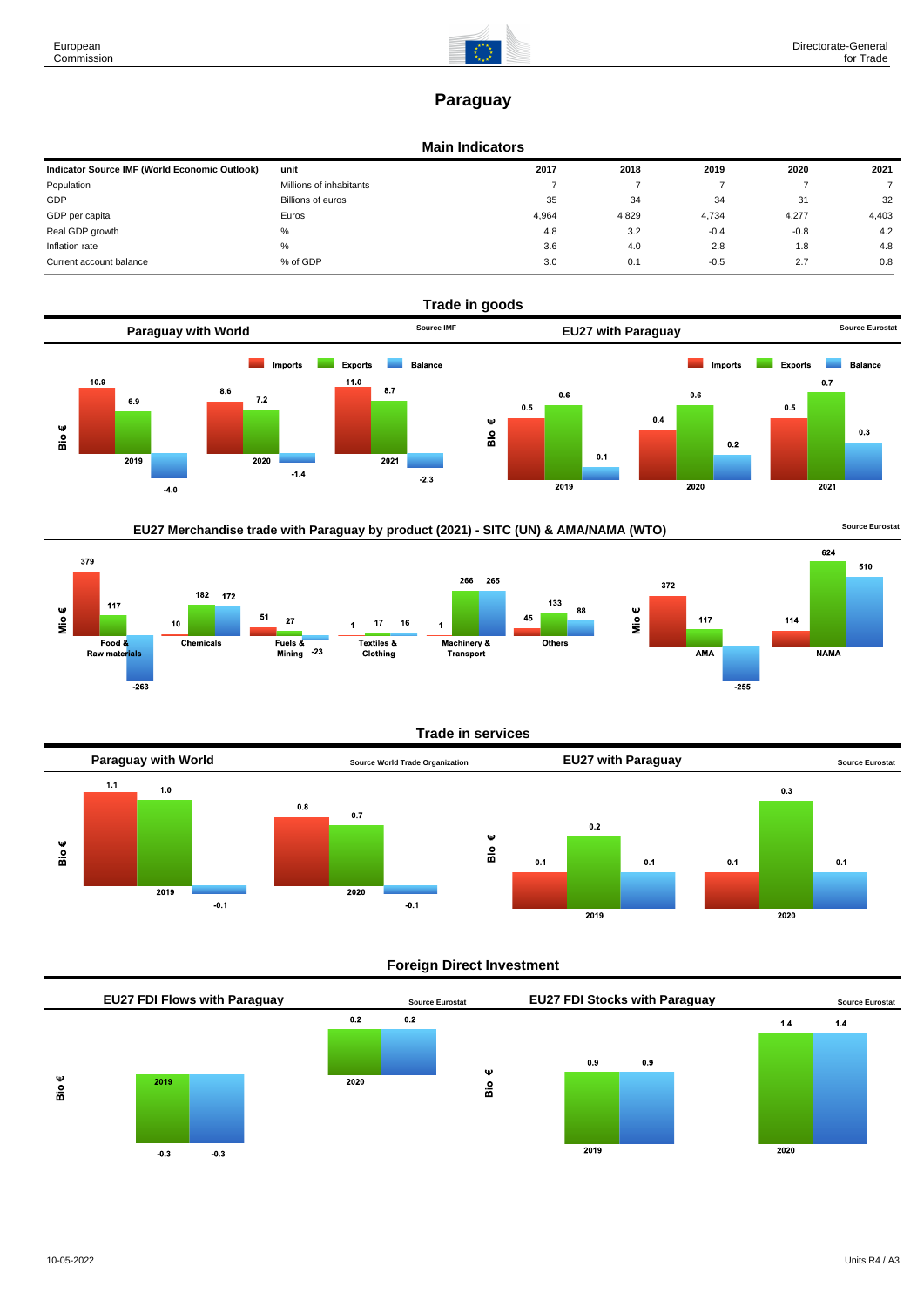# **Paraguay**

# **Main Indicators**

| Indicator Source IMF (World Economic Outlook) | unit                    | 2017  | 2018  | 2019   | 2020   | 2021  |
|-----------------------------------------------|-------------------------|-------|-------|--------|--------|-------|
| Population                                    | Millions of inhabitants |       |       |        |        |       |
| GDP                                           | Billions of euros       | 35    | 34    | 34     | 31     | 32    |
| GDP per capita                                | Euros                   | 4,964 | 4,829 | 4,734  | 4,277  | 4,403 |
| Real GDP growth                               | %                       | 4.8   | 3.2   | $-0.4$ | $-0.8$ | 4.2   |
| Inflation rate                                | $\%$                    | 3.6   | 4.0   | 2.8    | 1.8    | 4.8   |
| Current account balance                       | % of GDP                | 3.0   | 0.1   | $-0.5$ | 2.7    | 0.8   |



# EU27 Merchandise trade with Paraguay by product (2021) - SITC (UN) & AMA/NAMA (WTO) **Source Eurostat**



### **Trade in services**



# **Foreign Direct Investment**